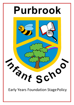

**Early Years Foundation Stage Policy**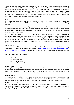The Early Years Foundation Stage (EYFS) applies to children from birth to the end of the Reception year and is intended to ensure that children learn and develop well and are kept healthy and safe. It promotes teaching and learning to ensure children's 'school readiness' and gives children the broad range of knowledge and skills that provide the right foundation for good future progress through school and life. Our Early Years Foundation Stage accommodates children from the age of 4 to 5 years. Each Reception class has a full time teacher and a full-time teaching assistant. To ensure best practice and continuity our Foundation Stage classes work closely together and share planning, activities and an outdoor learning environment.

# **Aims**

At Purbrook Infant School Foundation Stage we aim to give each child a positive and meaningful start to their school life, in which they can establish solid foundations on which to develop into independent and fearless lifelong learners.

We will encourage children to develop independence within a secure and friendly atmosphere; to support children in building relationships through the development of social skills such as cooperation and sharing; to help each child to recognise their own strengths and achievements through experiencing success and by developing the confidence to work towards personal goals.

Our high expectations will enable each child to develop socially, physically, intellectually and emotionally and to achieve their full potential. We will offer a structure for learning that has a range of starting points and unlimited availability for development through a wide range of new and exciting first-hand experiences that will give children the opportunity to consolidate, explore and test their skills, knowledge and understanding alongside existing experiences. We will ensure that children are kept healthy and safe and that they achieve the knowledge and skills they need to start school.

# **The Curriculum**

Our Early Years team follow the curriculum as outlined in the 2021 Early Years Foundation Stage (EYFS) document, which is available on the school website or to download at [https://www.gov.uk/government/publications/early](https://www.gov.uk/government/publications/early-years-foundation-stage-framework--2)[years-foundation-stage-framework--2.](https://www.gov.uk/government/publications/early-years-foundation-stage-framework--2) This clearly defines what we teach. The following policy details the specifics of our setting.

# **The EYFS is based upon four principles:**

- A Unique Child
- Positive Relationships
- Enabling Environments
- Learning and Development

# **A Unique Child**

We recognise that every child is a competent learner who can be resilient, capable, confident and self-assured. We recognise that children develop in individual ways, at varying rates. Children's attitudes and dispositions to learning are influenced by feedback from others; we use praise and encouragement, as well as celebration and rewards, to encourage children to develop a positive attitude to learning.

# **Positive relationships**

We recognise that children learn to be strong and independent from secure relationships and aim to develop caring, respectful and professional relationships with the children and their families. We value our Key worker system, this ensure both children and parents feel secure and communication between home and school is strong.

# **Enabling environments**

We recognise that the environment plays a key role in supporting and extending the children's development. Through observations we assess the children's interests and stages of development and learning needs before planning challenging and achievable activities and experiences to extend their learning.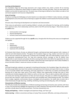### **Learning and development**

Our Foundation Stage has three large classrooms and a large outdoor area, which is shared. All our learning environments are organised to allow children to explore and learn securely and safely. There are areas where the children can be active, be quiet and rest. The seven areas of learning are defined so that children are able to find and locate equipment and resources independently.

### **Areas of Learning**

We plan an exciting and challenging curriculum based on our observation of children's needs, interests, and stages of development across the seven areas of learning to support the children to work towards the final Early Learning Goals.

All seven areas of learning and development are important and interconnected.

Three areas are particularly crucial for igniting children's curiosity and enthusiasm for learning, and for building their capacity to learn, form relationships and thrive, both in the EYFS and into Key Stage 1. These three areas are the **prime** areas:

- Communication and Language
- Physical Development
- Personal, Social and Emotional Development

Children are also supported through the four **specific** areas, through which the three prime areas are strengthened and applied:

- Literacy
- Mathematics
- Understanding the World
- Expressive Arts and Design

At Purbrook Infant School, all areas are delivered through a well-planned play based approach with a balance of adult led and child initiated activities. Throughout the Foundation Stage our long, medium and short-term plans ensure that each child has the opportunity to develop their knowledge, skills and understanding in every area at the appropriate developmental level. Our long term planning ensures coverage so that all children have opportunities to work towards and achieve the Early Learning Goals (ELG's) that define the expectations for most children to reach by the end of the EYFS. We follow a half termly topic based approach which allows flexibility to ensure that both children's needs and interests are taken into account.

#### **Play**

Learning through play underpins our approach to teaching and learning in the Foundation Stage. We embrace the fact that young children learn best from activities and experiences that interest and inspire them to learn. In doing so we can provide children with stimulating, active play experiences in which they can explore and develop their learning and to help them make sense of the world. Children have opportunities through their play to think creatively and critically alongside other children as well as on their own. They are able to practise skills, build upon and revisit prior learning and experiences at their own level and pace. Play gives our children the opportunity to pursue their own interests, inspire those around them and consolidate their understanding and skills. The children learn to adapt, negotiate, communicate, discuss, investigate and ask questions. Our adults take an active role in child initiated play through observing, modelling, facilitating, teaching and extending play, skills and language.

#### **Characteristics of Effective Learning**

The EYFS also includes the characteristics of effective teaching and learning and teachers plan activities with these in mind. The characteristics highlight the importance of a child's attitude to learning and their ability to play, explore and think critically about the world around them. The three characteristics are;

**Playing and Exploring** – children investigate and experience things, and 'have a go'

**Active Learning** – children concentrate and keep on trying if they encounter difficulties, and enjoy achievements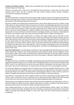**Creating and Thinking Critically** – children have and develop their own ideas, make links between ideas, and develop strategies for doing things.

Children are provided with a range of rich, meaningful first-hand experiences in which they can explore, think creatively and be active. We aim to develop and foster positive attitudes towards learning, confidence, communication and physical development.

### **Inclusion**

Our whole school ethos, as well as that of the Foundation Stage, embraces inclusion. We recognise and respect the abilities and strengths of our children at all levels of development and the wealth of knowledge and experience that they bring from their differing backgrounds and cultures.

We give our children every opportunity to achieve their best. We do this by taking account of our children's range of life experiences when planning for their learning and we set realistic and challenging expectations that meet the needs of individual children, so that children are able to reach their full potential. We achieve this by planning to meet the needs of boys and girls, children with special educational needs, children who are more able, children from all social and cultural backgrounds, children of different ethnic groups and those from diverse linguistic backgrounds. We aim to build upon and extend children's knowledge, experience and interests, and develop their self-esteem and confidence using a wide range of teaching strategies based on children's learning needs

We will provide: a wide range of opportunities to motivate and support children and to help them to learn effectively; a safe and supportive learning environment in which the contribution of all children is valued; resources which reflect diversity and are free from discrimination and stereotyping; challenging activities for all children and for those whose ability and understanding are advanced. We will monitor children's progress and take action to provide support as necessary. Where a specific need is suspected we will liaise with the Special Educational Needs co-ordinator and seek advice from outside agencies, such as the speech and language service, the educational psychologist and the bi-lingual support services amongst others. We adhere to the Equal Opportunity and Inclusion policies of the school.

**Early Years Pupil Premium** – we will endeavour to identify our least advantaged pupils and inform parents or carers of their opportunity to apply for their child's entitlement to extra funding in school. All extra funding we receive will be used to support areas in which we identify that the child will best benefit. We will track children's progress to ensure that they are making good progress and to ensure that support is adjusted to target specific areas as the child develops.

#### **Assessment**

Throughout Early Years, the children's knowledge, understanding, skills and achievements are assessed and tracked using the developmental stages set out in the document 'Development Matters in the Early Years Foundation Stage (EYFS)'. As part of our daily practice we observe and assess children's development and learning to inform our future plans. We record our observations in a variety of ways and everyone in class is encouraged to contribute.

Our assessment depends on us getting to know our children and, to this end, we gather information from a range of sources; observations of the children in play, in adult led activities, through discussions with parents and carers and through talking to the children. We keep written and photographic evidence to help us build up a picture of children's strengths and achievements and to help us to plan for children's next steps in learning.

Every child has a 'Learning Journal' held on Tapestry in which we record our observations and keep samples of the children's work. Parents/carers receive a notification when an observation has been added to their child's Learning Journal and they can then view this observation and any related photographs/videos and assessments.

Parents/carers are encouraged to add their own comments and also to upload their own observations to show us what their children are able to do at home. Children's 'Next Steps in Learning' are added to some observations so that parents/carers know how to help their children with their learning at home.

These ongoing observations are used to inform the EYFS Profile/Development Matters bands. The children's progress is reviewed continually. Throughout their time in Reception, parents/carers are welcomed in to share their children's learning; both informally through our 'open door' policy and more formally during parent/teacher consultations.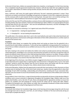At the start of Early Years, children are assessed to determine a baseline, or starting point, for their future learning. This is completed using the government baseline test; however, staff will also make their own judgements based on the adults' observations of children during activities and play and this data will be used to plan next steps for each child.

Once a half-term, staff assess the pupils against half-termly 'On-track' statements generated in school. These statements are based on practitioner knowledge and experience of progress in Early Years, progression documents and the necessary skills to work towards the Early Learning Goals. Any pupil who is not currently working at the expected level is offered additional interventions to support their progress and development.

At the end of the year the EYFS profile provides a summary of every child's development and learning achievements including whether they have reached a 'Good Level of Development' (GLD). Children are assessed against the Early Learning Goals (ELG) by the class teacher - who uses the exemplification documents, and their knowledge of the children to make a 'best fit' judgement.

The children are assessed as achieving a 1 or 2 against each area of the EYFS curriculum:

- $2$  = Expected ELG meeting the expected level
- $\bullet$  1 = Emerging ELG not yet meeting the expected level

This profile data is the statutory data that is sent to the Local Authority and used to help school benchmark and identify improvements. Parents/carers will be given information of their child's achievements in a written report at the end of the Summer term.

# **Transitions**

At Purbrook Infant School, we recognise that starting school and moving up classes has the potential to be a stressful time for both children and parents. To this end we have established a strong procedure for transitions to ensure that our children and parents are as confident and secure as they can be when facing the challenges of each year group.

We hold a meeting in the summer term before the children start school to provide parents with key information, school expectations, knowledge on our curriculum and assessment and advice on how they can help their child. All parents are offered a home visit prior to their child starting school (either in person or via video). This gives children the security of meeting with their teachers in a safe, familiar environment and gives parents time to ask questions and share knowledge or any concerns they have about their child.

At the beginning of the school year, new children are given staggered entry times to ensure that they have the time to feel welcomed and to support them in exploring their new environment. In Reception there is up to a two-week 'settling in' period to ensure that children have the time to become secure and familiar with the new routines before starting school full-time. During this time, children attend school on alternate days.

At the end of Reception, children have the opportunity to meet with their new teachers in their classrooms on three occasions prior to starting Year One. At the end of each school year, teachers have the opportunity to share their knowledge of each child's knowledge, understanding and achievements, including end of year assessment data, with their next class teacher to ensure that all teachers have a well-rounded picture of the children prior to the new school year.

During children's time in Early Years, a range of shared activities are planned for all classes to help develop children's confidence and to ensure continuity in experiences throughout the Foundation Stage. Children make use of the whole school facilities, such as the hall, ICT suite, library and playing field for appropriate activities to ensure that children are confident and well prepared for moving around the school and for mixing with older children. Throughout the Reception year, when children are ready, they are gradually introduced to whole school activities such as assemblies and to using the big playground and forest area.

# **Community Links**

At Purbrook Infant School, the Foundation Stage classes enrich learning and encourage strong links with the local area through local visits to the park, local farm, etc and inviting in members of the local community during our annual topic on people who help us.